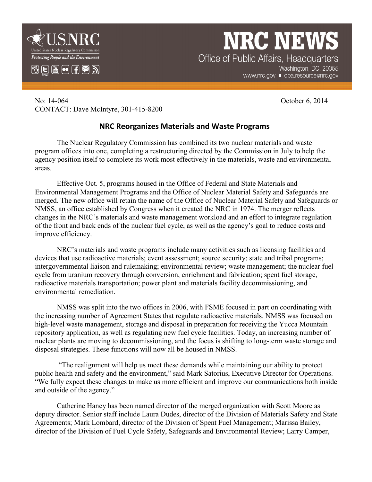

## **NRC NEWS** Office of Public Affairs, Headquarters

Washington, DC. 20055 www.nrc.gov ■ opa.resource@nrc.gov

No: 14-064 October 6, 2014 CONTACT: Dave McIntyre, 301-415-8200

## **NRC Reorganizes Materials and Waste Programs**

The Nuclear Regulatory Commission has combined its two nuclear materials and waste program offices into one, completing a restructuring directed by the Commission in July to help the agency position itself to complete its work most effectively in the materials, waste and environmental areas.

Effective Oct. 5, programs housed in the Office of Federal and State Materials and Environmental Management Programs and the Office of Nuclear Material Safety and Safeguards are merged. The new office will retain the name of the Office of Nuclear Material Safety and Safeguards or NMSS, an office established by Congress when it created the NRC in 1974. The merger reflects changes in the NRC's materials and waste management workload and an effort to integrate regulation of the front and back ends of the nuclear fuel cycle, as well as the agency's goal to reduce costs and improve efficiency.

NRC's materials and waste programs include many activities such as licensing facilities and devices that use radioactive materials; event assessment; source security; state and tribal programs; intergovernmental liaison and rulemaking; environmental review; waste management; the nuclear fuel cycle from uranium recovery through conversion, enrichment and fabrication; spent fuel storage, radioactive materials transportation; power plant and materials facility decommissioning, and environmental remediation.

NMSS was split into the two offices in 2006, with FSME focused in part on coordinating with the increasing number of Agreement States that regulate radioactive materials. NMSS was focused on high-level waste management, storage and disposal in preparation for receiving the Yucca Mountain repository application, as well as regulating new fuel cycle facilities. Today, an increasing number of nuclear plants are moving to decommissioning, and the focus is shifting to long-term waste storage and disposal strategies. These functions will now all be housed in NMSS.

"The realignment will help us meet these demands while maintaining our ability to protect public health and safety and the environment," said Mark Satorius, Executive Director for Operations. "We fully expect these changes to make us more efficient and improve our communications both inside and outside of the agency."

Catherine Haney has been named director of the merged organization with Scott Moore as deputy director. Senior staff include Laura Dudes, director of the Division of Materials Safety and State Agreements; Mark Lombard, director of the Division of Spent Fuel Management; Marissa Bailey, director of the Division of Fuel Cycle Safety, Safeguards and Environmental Review; Larry Camper,